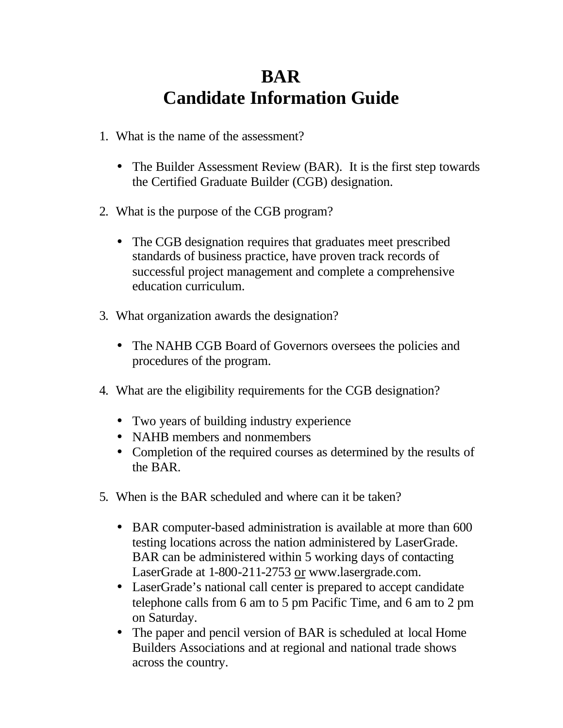### **BAR Candidate Information Guide**

- 1. What is the name of the assessment?
	- The Builder Assessment Review (BAR). It is the first step towards the Certified Graduate Builder (CGB) designation.
- 2. What is the purpose of the CGB program?
	- The CGB designation requires that graduates meet prescribed standards of business practice, have proven track records of successful project management and complete a comprehensive education curriculum.
- 3. What organization awards the designation?
	- The NAHB CGB Board of Governors oversees the policies and procedures of the program.
- 4. What are the eligibility requirements for the CGB designation?
	- Two years of building industry experience
	- NAHB members and nonmembers
	- Completion of the required courses as determined by the results of the BAR.
- 5. When is the BAR scheduled and where can it be taken?
	- BAR computer-based administration is available at more than 600 testing locations across the nation administered by LaserGrade. BAR can be administered within 5 working days of contacting LaserGrade at 1-800-211-2753 or www.lasergrade.com.
	- LaserGrade's national call center is prepared to accept candidate telephone calls from 6 am to 5 pm Pacific Time, and 6 am to 2 pm on Saturday.
	- The paper and pencil version of BAR is scheduled at local Home Builders Associations and at regional and national trade shows across the country.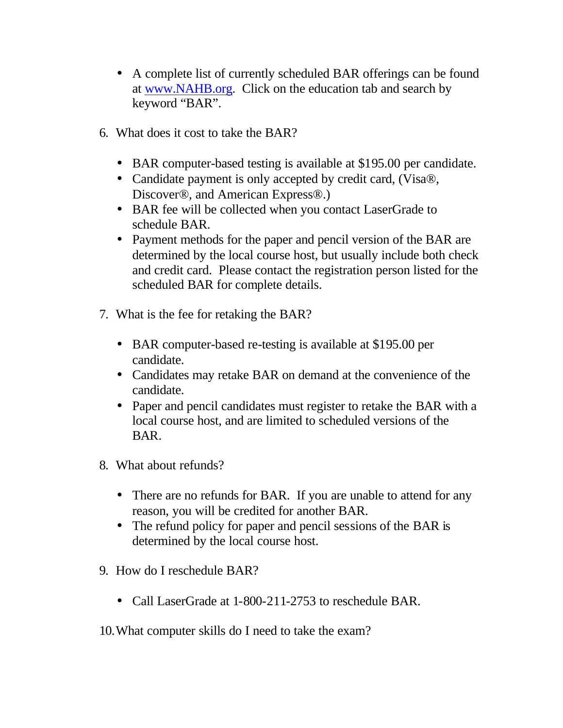- A complete list of currently scheduled BAR offerings can be found at www.NAHB.org. Click on the education tab and search by keyword "BAR".
- 6. What does it cost to take the BAR?
	- BAR computer-based testing is available at \$195.00 per candidate.
	- Candidate payment is only accepted by credit card, (Visa®, Discover®, and American Express®.)
	- BAR fee will be collected when you contact LaserGrade to schedule BAR.
	- Payment methods for the paper and pencil version of the BAR are determined by the local course host, but usually include both check and credit card. Please contact the registration person listed for the scheduled BAR for complete details.
- 7. What is the fee for retaking the BAR?
	- BAR computer-based re-testing is available at \$195.00 per candidate.
	- Candidates may retake BAR on demand at the convenience of the candidate.
	- Paper and pencil candidates must register to retake the BAR with a local course host, and are limited to scheduled versions of the BAR.
- 8. What about refunds?
	- There are no refunds for BAR. If you are unable to attend for any reason, you will be credited for another BAR.
	- The refund policy for paper and pencil sessions of the BAR is determined by the local course host.
- 9. How do I reschedule BAR?
	- Call LaserGrade at 1-800-211-2753 to reschedule BAR.
- 10.What computer skills do I need to take the exam?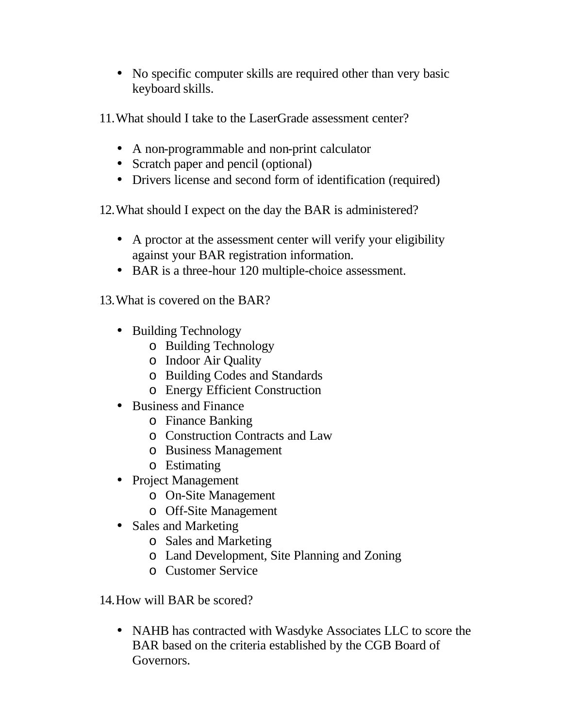• No specific computer skills are required other than very basic keyboard skills.

11.What should I take to the LaserGrade assessment center?

- A non-programmable and non-print calculator
- Scratch paper and pencil (optional)
- Drivers license and second form of identification (required)

12.What should I expect on the day the BAR is administered?

- A proctor at the assessment center will verify your eligibility against your BAR registration information.
- BAR is a three-hour 120 multiple-choice assessment.

13.What is covered on the BAR?

- Building Technology
	- o Building Technology
	- o Indoor Air Quality
	- o Building Codes and Standards
	- o Energy Efficient Construction
- Business and Finance
	- o Finance Banking
	- o Construction Contracts and Law
	- o Business Management
	- o Estimating
- Project Management
	- o On-Site Management
	- o Off-Site Management
- Sales and Marketing
	- o Sales and Marketing
	- o Land Development, Site Planning and Zoning
	- o Customer Service

14.How will BAR be scored?

• NAHB has contracted with Wasdyke Associates LLC to score the BAR based on the criteria established by the CGB Board of Governors.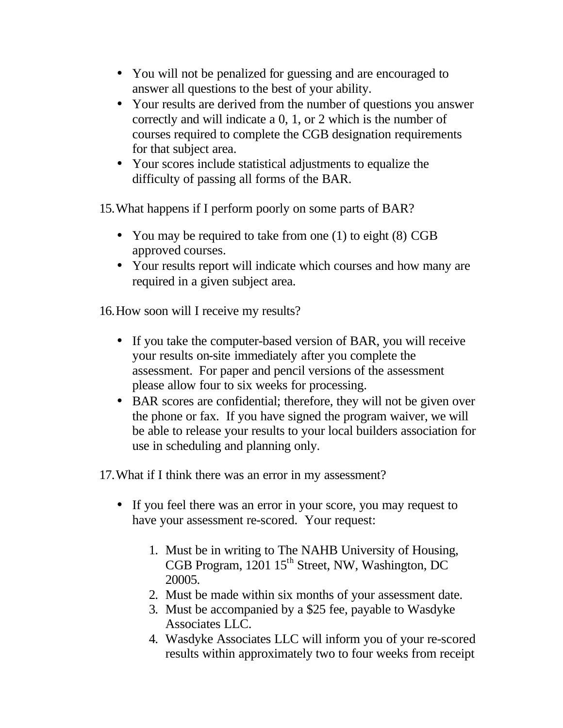- You will not be penalized for guessing and are encouraged to answer all questions to the best of your ability.
- Your results are derived from the number of questions you answer correctly and will indicate a 0, 1, or 2 which is the number of courses required to complete the CGB designation requirements for that subject area.
- Your scores include statistical adjustments to equalize the difficulty of passing all forms of the BAR.

15.What happens if I perform poorly on some parts of BAR?

- You may be required to take from one (1) to eight (8) CGB approved courses.
- Your results report will indicate which courses and how many are required in a given subject area.

16.How soon will I receive my results?

- If you take the computer-based version of BAR, you will receive your results on-site immediately after you complete the assessment. For paper and pencil versions of the assessment please allow four to six weeks for processing.
- BAR scores are confidential; therefore, they will not be given over the phone or fax. If you have signed the program waiver, we will be able to release your results to your local builders association for use in scheduling and planning only.

17.What if I think there was an error in my assessment?

- If you feel there was an error in your score, you may request to have your assessment re-scored. Your request:
	- 1. Must be in writing to The NAHB University of Housing, CGB Program,  $1201 \, 15^{th}$  Street, NW, Washington, DC 20005.
	- 2. Must be made within six months of your assessment date.
	- 3. Must be accompanied by a \$25 fee, payable to Wasdyke Associates LLC.
	- 4. Wasdyke Associates LLC will inform you of your re-scored results within approximately two to four weeks from receipt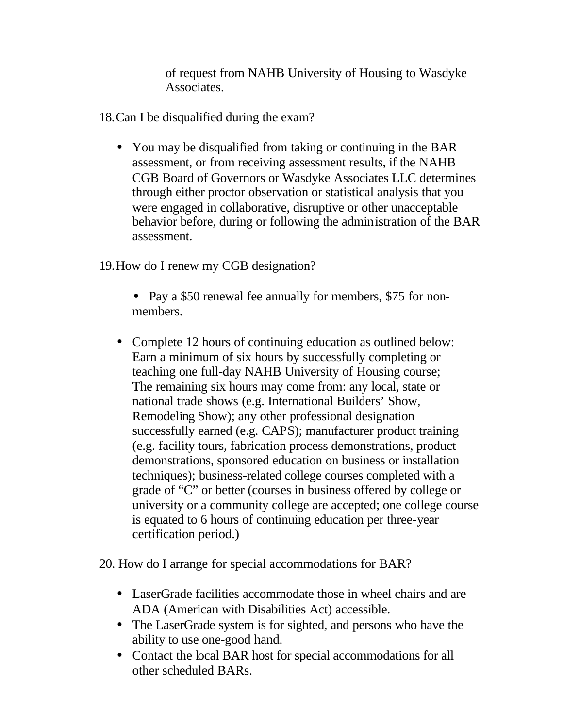of request from NAHB University of Housing to Wasdyke Associates.

18.Can I be disqualified during the exam?

• You may be disqualified from taking or continuing in the BAR assessment, or from receiving assessment results, if the NAHB CGB Board of Governors or Wasdyke Associates LLC determines through either proctor observation or statistical analysis that you were engaged in collaborative, disruptive or other unacceptable behavior before, during or following the administration of the BAR assessment.

19.How do I renew my CGB designation?

- Pay a \$50 renewal fee annually for members, \$75 for nonmembers.
- Complete 12 hours of continuing education as outlined below: Earn a minimum of six hours by successfully completing or teaching one full-day NAHB University of Housing course; The remaining six hours may come from: any local, state or national trade shows (e.g. International Builders' Show, Remodeling Show); any other professional designation successfully earned (e.g. CAPS); manufacturer product training (e.g. facility tours, fabrication process demonstrations, product demonstrations, sponsored education on business or installation techniques); business-related college courses completed with a grade of "C" or better (courses in business offered by college or university or a community college are accepted; one college course is equated to 6 hours of continuing education per three-year certification period.)

20. How do I arrange for special accommodations for BAR?

- LaserGrade facilities accommodate those in wheel chairs and are ADA (American with Disabilities Act) accessible.
- The LaserGrade system is for sighted, and persons who have the ability to use one-good hand.
- Contact the local BAR host for special accommodations for all other scheduled BARs.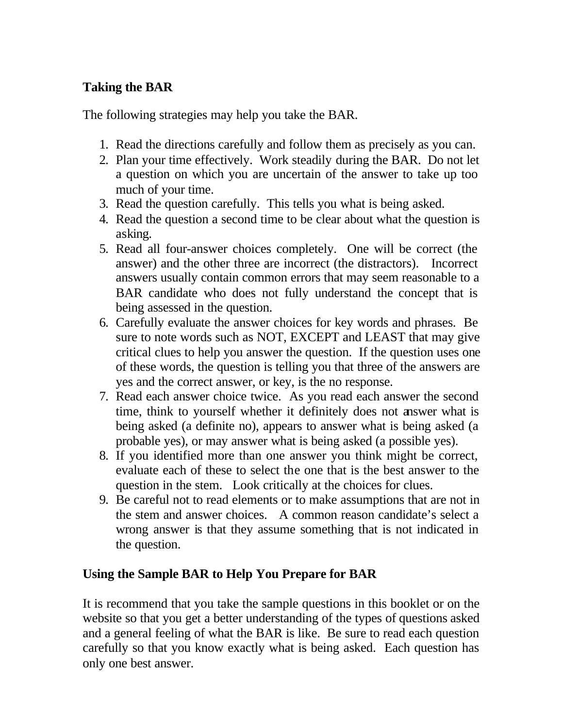#### **Taking the BAR**

The following strategies may help you take the BAR.

- 1. Read the directions carefully and follow them as precisely as you can.
- 2. Plan your time effectively. Work steadily during the BAR. Do not let a question on which you are uncertain of the answer to take up too much of your time.
- 3. Read the question carefully. This tells you what is being asked.
- 4. Read the question a second time to be clear about what the question is asking.
- 5. Read all four-answer choices completely. One will be correct (the answer) and the other three are incorrect (the distractors). Incorrect answers usually contain common errors that may seem reasonable to a BAR candidate who does not fully understand the concept that is being assessed in the question.
- 6. Carefully evaluate the answer choices for key words and phrases. Be sure to note words such as NOT, EXCEPT and LEAST that may give critical clues to help you answer the question. If the question uses one of these words, the question is telling you that three of the answers are yes and the correct answer, or key, is the no response.
- 7. Read each answer choice twice. As you read each answer the second time, think to yourself whether it definitely does not answer what is being asked (a definite no), appears to answer what is being asked (a probable yes), or may answer what is being asked (a possible yes).
- 8. If you identified more than one answer you think might be correct, evaluate each of these to select the one that is the best answer to the question in the stem. Look critically at the choices for clues.
- 9. Be careful not to read elements or to make assumptions that are not in the stem and answer choices. A common reason candidate's select a wrong answer is that they assume something that is not indicated in the question.

#### **Using the Sample BAR to Help You Prepare for BAR**

It is recommend that you take the sample questions in this booklet or on the website so that you get a better understanding of the types of questions asked and a general feeling of what the BAR is like. Be sure to read each question carefully so that you know exactly what is being asked. Each question has only one best answer.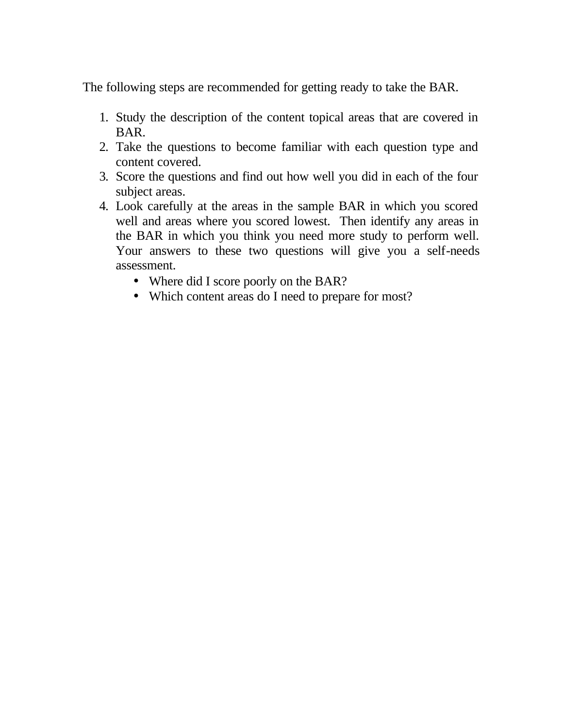The following steps are recommended for getting ready to take the BAR.

- 1. Study the description of the content topical areas that are covered in BAR.
- 2. Take the questions to become familiar with each question type and content covered.
- 3. Score the questions and find out how well you did in each of the four subject areas.
- 4. Look carefully at the areas in the sample BAR in which you scored well and areas where you scored lowest. Then identify any areas in the BAR in which you think you need more study to perform well. Your answers to these two questions will give you a self-needs assessment.
	- Where did I score poorly on the BAR?
	- Which content areas do I need to prepare for most?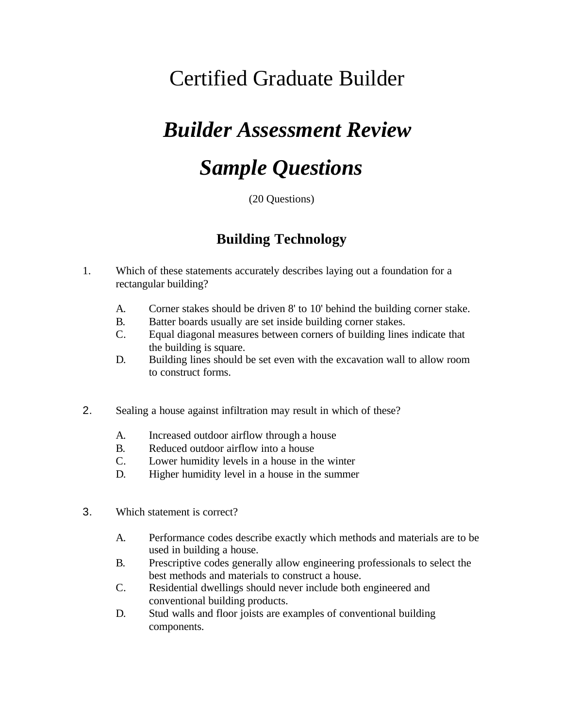## Certified Graduate Builder

# *Builder Assessment Review*

# *Sample Questions*

(20 Questions)

### **Building Technology**

- 1. Which of these statements accurately describes laying out a foundation for a rectangular building?
	- A. Corner stakes should be driven 8' to 10' behind the building corner stake.
	- B. Batter boards usually are set inside building corner stakes.
	- C. Equal diagonal measures between corners of building lines indicate that the building is square.
	- D. Building lines should be set even with the excavation wall to allow room to construct forms.
- 2. Sealing a house against infiltration may result in which of these?
	- A. Increased outdoor airflow through a house
	- B. Reduced outdoor airflow into a house
	- C. Lower humidity levels in a house in the winter
	- D. Higher humidity level in a house in the summer
- 3. Which statement is correct?
	- A. Performance codes describe exactly which methods and materials are to be used in building a house.
	- B. Prescriptive codes generally allow engineering professionals to select the best methods and materials to construct a house.
	- C. Residential dwellings should never include both engineered and conventional building products.
	- D. Stud walls and floor joists are examples of conventional building components.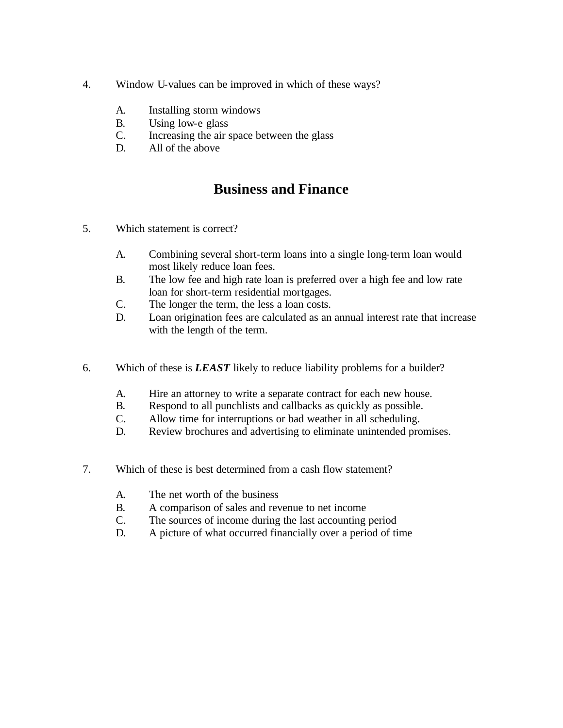- 4. Window U-values can be improved in which of these ways?
	- A. Installing storm windows
	- B. Using low-e glass
	- C. Increasing the air space between the glass
	- D. All of the above

### **Business and Finance**

- 5. Which statement is correct?
	- A. Combining several short-term loans into a single long-term loan would most likely reduce loan fees.
	- B. The low fee and high rate loan is preferred over a high fee and low rate loan for short-term residential mortgages.
	- C. The longer the term, the less a loan costs.
	- D. Loan origination fees are calculated as an annual interest rate that increase with the length of the term.
- 6. Which of these is *LEAST* likely to reduce liability problems for a builder?
	- A. Hire an attorney to write a separate contract for each new house.
	- B. Respond to all punchlists and callbacks as quickly as possible.
	- C. Allow time for interruptions or bad weather in all scheduling.
	- D. Review brochures and advertising to eliminate unintended promises.
- 7. Which of these is best determined from a cash flow statement?
	- A. The net worth of the business
	- B. A comparison of sales and revenue to net income
	- C. The sources of income during the last accounting period
	- D. A picture of what occurred financially over a period of time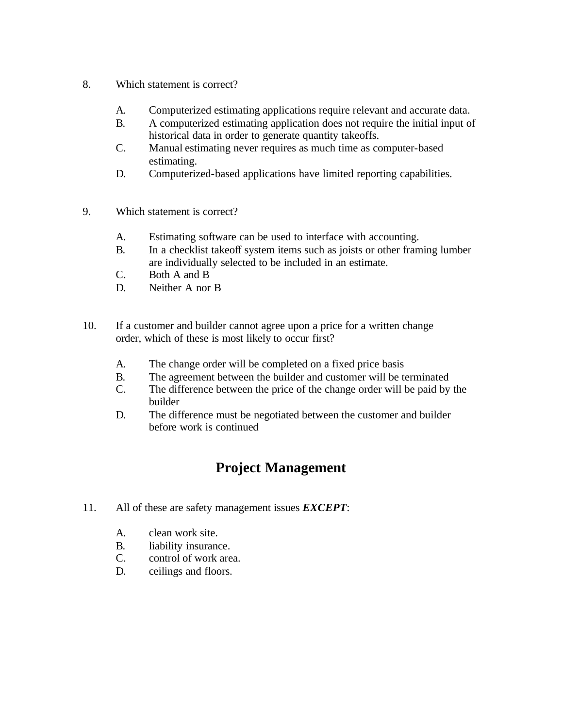- 8. Which statement is correct?
	- A. Computerized estimating applications require relevant and accurate data.
	- B. A computerized estimating application does not require the initial input of historical data in order to generate quantity takeoffs.
	- C. Manual estimating never requires as much time as computer-based estimating.
	- D. Computerized-based applications have limited reporting capabilities.
- 9. Which statement is correct?
	- A. Estimating software can be used to interface with accounting.
	- B. In a checklist takeoff system items such as joists or other framing lumber are individually selected to be included in an estimate.
	- C. Both A and B
	- D. Neither A nor B
- 10. If a customer and builder cannot agree upon a price for a written change order, which of these is most likely to occur first?
	- A. The change order will be completed on a fixed price basis
	- B. The agreement between the builder and customer will be terminated
	- C. The difference between the price of the change order will be paid by the builder
	- D. The difference must be negotiated between the customer and builder before work is continued

### **Project Management**

- 11. All of these are safety management issues *EXCEPT*:
	- A. clean work site.
	- B. liability insurance.
	- C. control of work area.
	- D. ceilings and floors.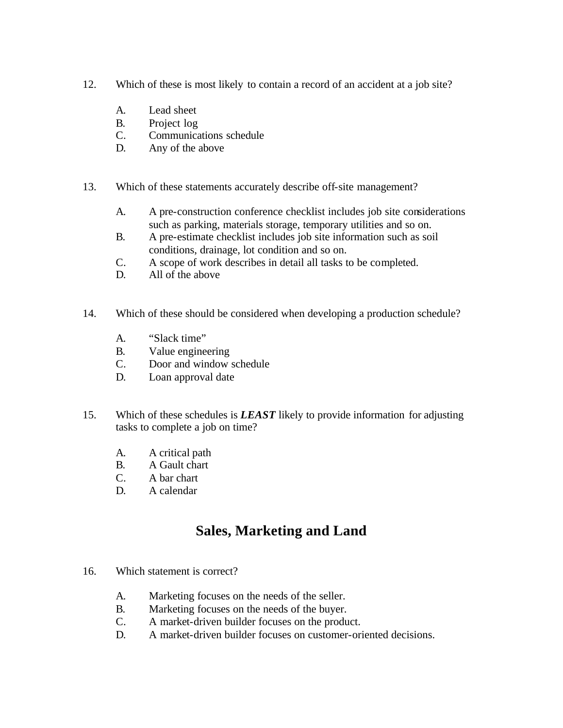- 12. Which of these is most likely to contain a record of an accident at a job site?
	- A. Lead sheet
	- B. Project log
	- C. Communications schedule
	- D. Any of the above
- 13. Which of these statements accurately describe off-site management?
	- A. A pre-construction conference checklist includes job site considerations such as parking, materials storage, temporary utilities and so on.
	- B. A pre-estimate checklist includes job site information such as soil conditions, drainage, lot condition and so on.
	- C. A scope of work describes in detail all tasks to be completed.
	- D. All of the above
- 14. Which of these should be considered when developing a production schedule?
	- A. "Slack time"
	- B. Value engineering
	- C. Door and window schedule
	- D. Loan approval date
- 15. Which of these schedules is *LEAST* likely to provide information for adjusting tasks to complete a job on time?
	- A. A critical path
	- B. A Gault chart
	- C. A bar chart
	- D. A calendar

### **Sales, Marketing and Land**

- 16. Which statement is correct?
	- A. Marketing focuses on the needs of the seller.
	- B. Marketing focuses on the needs of the buyer.
	- C. A market-driven builder focuses on the product.
	- D. A market-driven builder focuses on customer-oriented decisions.